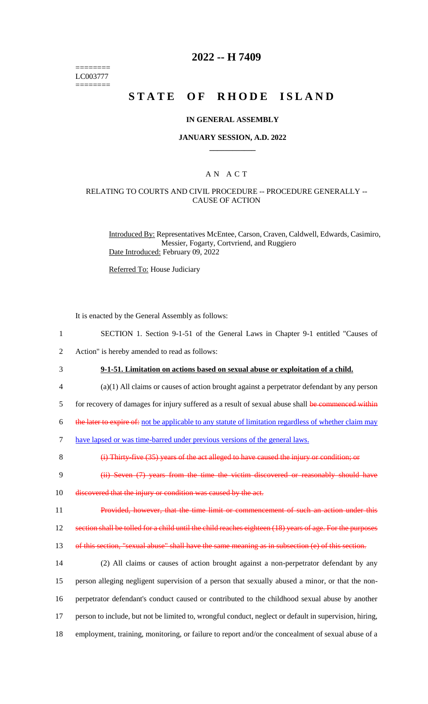======== LC003777 ========

### **2022 -- H 7409**

# **STATE OF RHODE ISLAND**

#### **IN GENERAL ASSEMBLY**

#### **JANUARY SESSION, A.D. 2022 \_\_\_\_\_\_\_\_\_\_\_\_**

### A N A C T

#### RELATING TO COURTS AND CIVIL PROCEDURE -- PROCEDURE GENERALLY -- CAUSE OF ACTION

Introduced By: Representatives McEntee, Carson, Craven, Caldwell, Edwards, Casimiro, Messier, Fogarty, Cortvriend, and Ruggiero Date Introduced: February 09, 2022

Referred To: House Judiciary

It is enacted by the General Assembly as follows:

- 1 SECTION 1. Section 9-1-51 of the General Laws in Chapter 9-1 entitled "Causes of
- 2 Action" is hereby amended to read as follows:
- 3 **9-1-51. Limitation on actions based on sexual abuse or exploitation of a child.**
- 4 (a)(1) All claims or causes of action brought against a perpetrator defendant by any person
- 5 for recovery of damages for injury suffered as a result of sexual abuse shall be commenced within
- 6 the later to expire of: not be applicable to any statute of limitation regardless of whether claim may
- 7 have lapsed or was time-barred under previous versions of the general laws.

8 (i) Thirty-five (35) years of the act alleged to have caused the injury or condition; or

- 9 (ii) Seven (7) years from the time the victim discovered or reasonably should have
- 10 discovered that the injury or condition was caused by the act.
- 11 Provided, however, that the time limit or commencement of such an action under this
- 12 section shall be tolled for a child until the child reaches eighteen (18) years of age. For the purposes

13 of this section, "sexual abuse" shall have the same meaning as in subsection (e) of this section.

 (2) All claims or causes of action brought against a non-perpetrator defendant by any person alleging negligent supervision of a person that sexually abused a minor, or that the non- perpetrator defendant's conduct caused or contributed to the childhood sexual abuse by another person to include, but not be limited to, wrongful conduct, neglect or default in supervision, hiring, employment, training, monitoring, or failure to report and/or the concealment of sexual abuse of a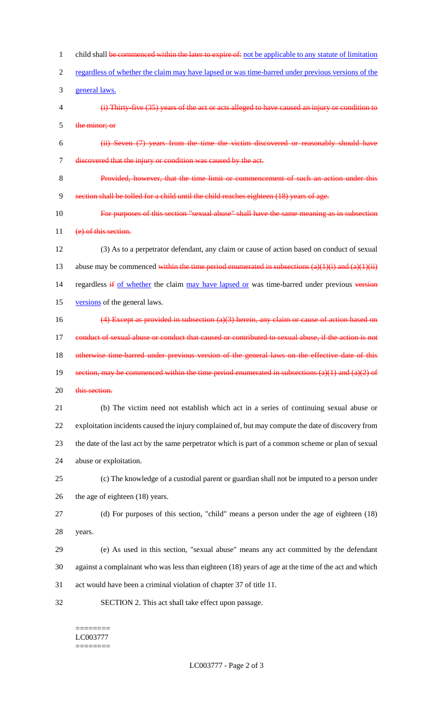1 child shall be commenced within the later to expire of: not be applicable to any statute of limitation regardless of whether the claim may have lapsed or was time-barred under previous versions of the general laws. (i) Thirty-five (35) years of the act or acts alleged to have caused an injury or condition to the minor; or (ii) Seven (7) years from the time the victim discovered or reasonably should have discovered that the injury or condition was caused by the act. Provided, however, that the time limit or commencement of such an action under this section shall be tolled for a child until the child reaches eighteen (18) years of age. For purposes of this section "sexual abuse" shall have the same meaning as in subsection 11 (e) of this section. (3) As to a perpetrator defendant, any claim or cause of action based on conduct of sexual 13 abuse may be commenced within the time period enumerated in subsections  $(a)(1)(i)$  and  $(a)(1)(ii)$ 14 regardless if of whether the claim may have lapsed or was time-barred under previous version versions of the general laws. (4) Except as provided in subsection (a)(3) herein, any claim or cause of action based on 17 conduct of sexual abuse or conduct that caused or contributed to sexual abuse, if the action is not 18 otherwise time-barred under previous version of the general laws on the effective date of this 19 section, may be commenced within the time period enumerated in subsections  $(a)(1)$  and  $(a)(2)$  of 20 this section. (b) The victim need not establish which act in a series of continuing sexual abuse or exploitation incidents caused the injury complained of, but may compute the date of discovery from the date of the last act by the same perpetrator which is part of a common scheme or plan of sexual abuse or exploitation. (c) The knowledge of a custodial parent or guardian shall not be imputed to a person under the age of eighteen (18) years. (d) For purposes of this section, "child" means a person under the age of eighteen (18) years. (e) As used in this section, "sexual abuse" means any act committed by the defendant against a complainant who was less than eighteen (18) years of age at the time of the act and which act would have been a criminal violation of chapter 37 of title 11. SECTION 2. This act shall take effect upon passage.

#### ======== LC003777 ========